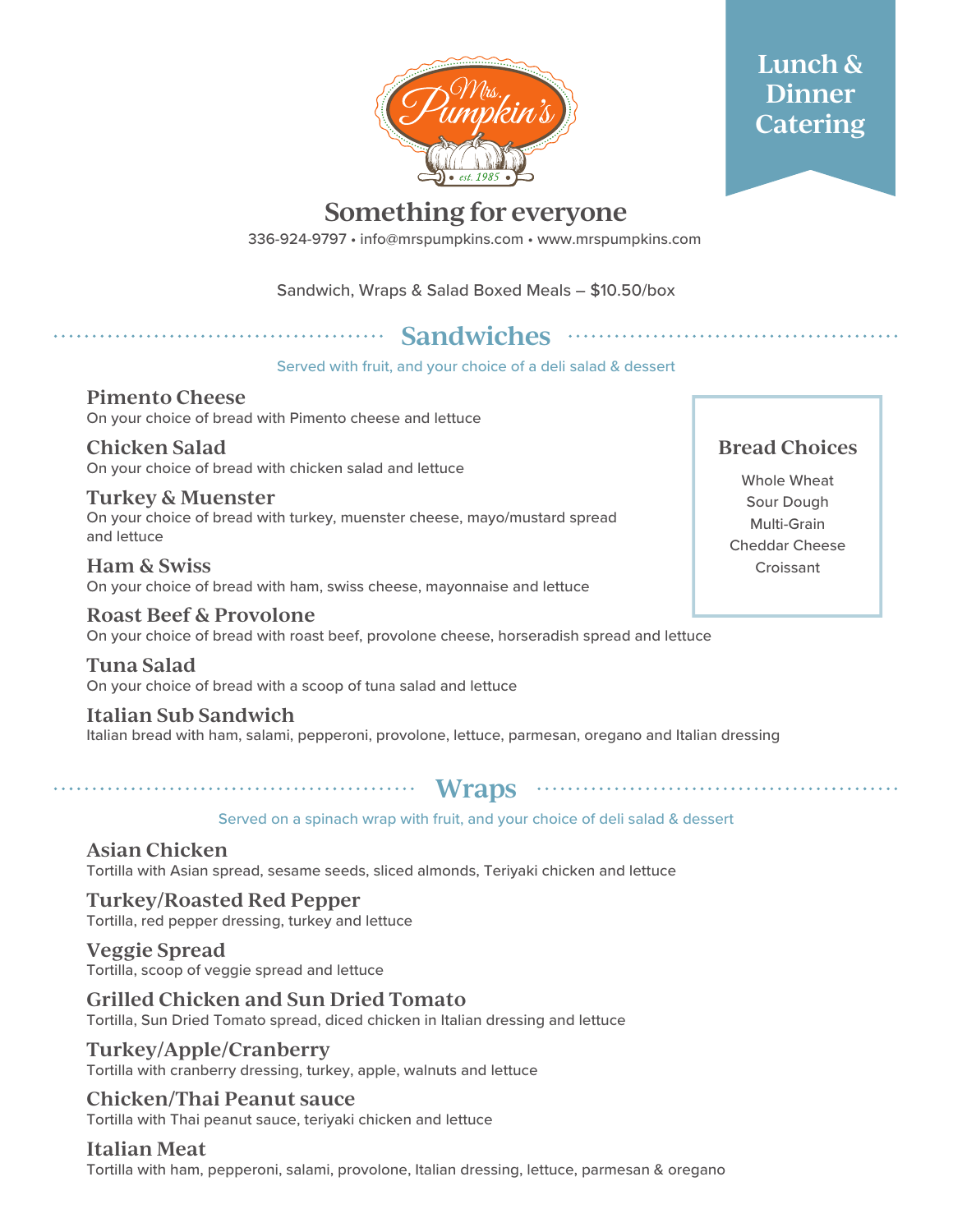

## **Lunch & Dinner Catering**

## **Something for everyone**

336-924-9797 • info@mrspumpkins.com • www.mrspumpkins.com

Sandwich, Wraps & Salad Boxed Meals – \$10.50/box

# **Sandwiches**

Served with fruit, and your choice of a deli salad & dessert

**Pimento Cheese** On your choice of bread with Pimento cheese and lettuce

**Chicken Salad** On your choice of bread with chicken salad and lettuce

**Turkey & Muenster** On your choice of bread with turkey, muenster cheese, mayo/mustard spread and lettuce

**Ham & Swiss** On your choice of bread with ham, swiss cheese, mayonnaise and lettuce

**Roast Beef & Provolone** On your choice of bread with roast beef, provolone cheese, horseradish spread and lettuce

**Tuna Salad** On your choice of bread with a scoop of tuna salad and lettuce

**Italian Sub Sandwich** Italian bread with ham, salami, pepperoni, provolone, lettuce, parmesan, oregano and Italian dressing

**Wraps**

#### Served on a spinach wrap with fruit, and your choice of deli salad & dessert

**Asian Chicken** Tortilla with Asian spread, sesame seeds, sliced almonds, Teriyaki chicken and lettuce

**Turkey/Roasted Red Pepper** Tortilla, red pepper dressing, turkey and lettuce

**Veggie Spread** Tortilla, scoop of veggie spread and lettuce

**Grilled Chicken and Sun Dried Tomato** Tortilla, Sun Dried Tomato spread, diced chicken in Italian dressing and lettuce

**Turkey/Apple/Cranberry** Tortilla with cranberry dressing, turkey, apple, walnuts and lettuce

**Chicken/Thai Peanut sauce** Tortilla with Thai peanut sauce, teriyaki chicken and lettuce

**Italian Meat**

Tortilla with ham, pepperoni, salami, provolone, Italian dressing, lettuce, parmesan & oregano

### **Bread Choices**

Whole Wheat Sour Dough Multi-Grain Cheddar Cheese **Croissant**